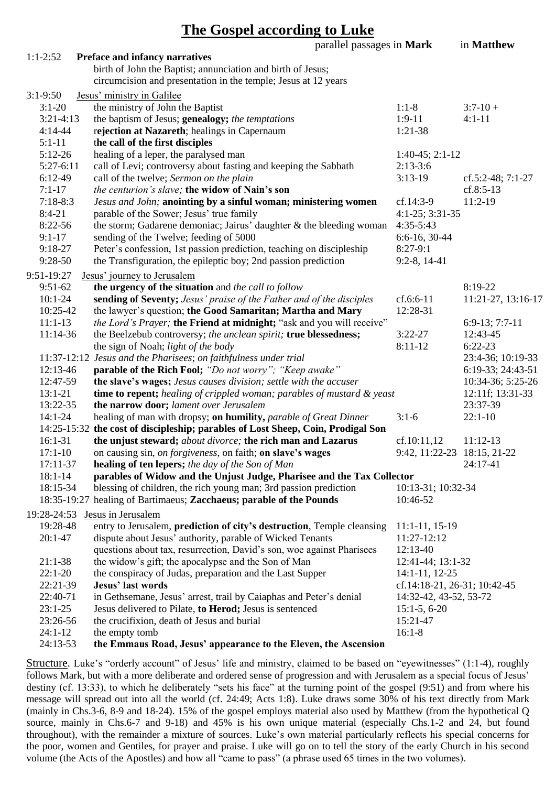| The Gospel according to Luke |  |
|------------------------------|--|
|                              |  |

|             |                                                                                  | parallel passages in Mark |                              | in Matthew          |
|-------------|----------------------------------------------------------------------------------|---------------------------|------------------------------|---------------------|
| $1:1-2:52$  | Preface and infancy narratives                                                   |                           |                              |                     |
|             | birth of John the Baptist; annunciation and birth of Jesus;                      |                           |                              |                     |
|             | circumcision and presentation in the temple; Jesus at 12 years                   |                           |                              |                     |
| $3:1-9:50$  | Jesus' ministry in Galilee                                                       |                           |                              |                     |
| $3:1-20$    | the ministry of John the Baptist                                                 |                           | $1:1-8$                      | $3:7-10+$           |
| $3:21-4:13$ | the baptism of Jesus; genealogy; the temptations                                 |                           | $1:9-11$                     | $4:1 - 11$          |
| $4:14-44$   | rejection at Nazareth; healings in Capernaum                                     |                           | 1:21-38                      |                     |
| $5:1-11$    | the call of the first disciples                                                  |                           |                              |                     |
| $5:12-26$   | healing of a leper, the paralysed man                                            |                           | $1:40-45; 2:1-12$            |                     |
| $5:27-6:11$ | call of Levi; controversy about fasting and keeping the Sabbath                  |                           | $2:13-3:6$                   |                     |
| 6:12-49     | call of the twelve; Sermon on the plain                                          |                           | $3:13-19$                    | cf.5:2-48; $7:1-27$ |
| $7:1-17$    | the centurion's slave; the widow of Nain's son                                   |                           |                              | $cf.8:5-13$         |
| $7:18-8:3$  | Jesus and John; anointing by a sinful woman; ministering women                   |                           | $cf.14:3-9$                  | $11:2-19$           |
| $8:4-21$    | parable of the Sower; Jesus' true family                                         |                           | $4:1-25$ ; $3:31-35$         |                     |
| 8:22-56     | the storm; Gadarene demoniac; Jairus' daughter & the bleeding woman              |                           | $4:35-5:43$                  |                     |
| $9:1-17$    | sending of the Twelve; feeding of 5000                                           |                           | $6:6-16, 30-44$              |                     |
| 9:18-27     | Peter's confession, 1st passion prediction, teaching on discipleship             |                           | $8:27-9:1$                   |                     |
| 9:28-50     | the Transfiguration, the epileptic boy; 2nd passion prediction                   |                           | $9:2-8, 14-41$               |                     |
| 9:51-19:27  | Jesus' journey to Jerusalem                                                      |                           |                              |                     |
| $9:51-62$   | the urgency of the situation and the call to follow                              |                           |                              | 8:19-22             |
| $10:1 - 24$ | sending of Seventy; Jesus' praise of the Father and of the disciples             |                           | cf.6:6-11                    | 11:21-27, 13:16-17  |
| 10:25-42    | the lawyer's question; the Good Samaritan; Martha and Mary                       |                           | 12:28-31                     |                     |
| $11:1-13$   | the Lord's Prayer; the Friend at midnight; "ask and you will receive"            |                           |                              | $6:9-13; 7:7-11$    |
| 11:14-36    | the Beelzebub controversy; the unclean spirit; true blessedness;                 |                           | $3:22-27$                    | 12:43-45            |
|             | the sign of Noah; light of the body                                              |                           | $8:11-12$                    | $6:22-23$           |
|             | 11:37-12:12 Jesus and the Pharisees; on faithfulness under trial                 |                           |                              | 23:4-36; 10:19-33   |
| 12:13-46    | parable of the Rich Fool; "Do not worry"; "Keep awake"                           |                           |                              | 6:19-33; 24:43-51   |
| 12:47-59    | the slave's wages; Jesus causes division; settle with the accuser                |                           |                              | 10:34-36; 5:25-26   |
| $13:1 - 21$ | time to repent; healing of crippled woman; parables of mustard & yeast           |                           |                              | 12:11f; 13:31-33    |
| 13:22-35    | the narrow door; lament over Jerusalem                                           |                           |                              | 23:37-39            |
| $14:1 - 24$ | healing of man with dropsy; on humility, parable of Great Dinner                 |                           | $3:1-6$                      | $22:1-10$           |
|             | 14:25-15:32 the cost of discipleship; parables of Lost Sheep, Coin, Prodigal Son |                           |                              |                     |
| $16:1-31$   | the unjust steward; about divorce; the rich man and Lazarus                      |                           | cf.10:11,12                  | $11:12-13$          |
| $17:1-10$   | on causing sin, on forgiveness, on faith; on slave's wages                       |                           | 9:42, 11:22-23 18:15, 21-22  |                     |
| 17:11-37    | healing of ten lepers; the day of the Son of Man                                 |                           |                              | 24:17-41            |
| $18:1 - 14$ | parables of Widow and the Unjust Judge, Pharisee and the Tax Collector           |                           |                              |                     |
| 18:15-34    | blessing of children, the rich young man; 3rd passion prediction                 |                           | 10:13-31; 10:32-34           |                     |
|             | 18:35-19:27 healing of Bartimaeus; Zacchaeus; parable of the Pounds              |                           | 10:46-52                     |                     |
| 19:28-24:53 | Jesus in Jerusalem                                                               |                           |                              |                     |
| 19:28-48    | entry to Jerusalem, prediction of city's destruction, Temple cleansing           |                           | $11:1-11, 15-19$             |                     |
| $20:1 - 47$ | dispute about Jesus' authority, parable of Wicked Tenants                        |                           | 11:27-12:12                  |                     |
|             | questions about tax, resurrection, David's son, woe against Pharisees            |                           | 12:13-40                     |                     |
| $21:1-38$   | the widow's gift; the apocalypse and the Son of Man                              |                           | 12:41-44; 13:1-32            |                     |
| $22:1-20$   | the conspiracy of Judas, preparation and the Last Supper                         |                           | 14:1-11, 12-25               |                     |
| 22:21-39    | <b>Jesus' last words</b>                                                         |                           | cf.14:18-21, 26-31; 10:42-45 |                     |
| 22:40-71    | in Gethsemane, Jesus' arrest, trail by Caiaphas and Peter's denial               |                           | 14:32-42, 43-52, 53-72       |                     |
| $23:1-25$   | Jesus delivered to Pilate, to Herod; Jesus is sentenced                          |                           | $15:1-5, 6-20$               |                     |
| 23:26-56    | the crucifixion, death of Jesus and burial                                       |                           | 15:21-47                     |                     |
| $24:1-12$   | the empty tomb                                                                   |                           | $16:1-8$                     |                     |
| 24:13-53    | the Emmaus Road, Jesus' appearance to the Eleven, the Ascension                  |                           |                              |                     |
|             |                                                                                  |                           |                              |                     |

Structure. Luke's "orderly account" of Jesus' life and ministry, claimed to be based on "eyewitnesses" (1:1-4), roughly follows Mark, but with a more deliberate and ordered sense of progression and with Jerusalem as a special focus of Jesus' destiny (cf. 13:33), to which he deliberately "sets his face" at the turning point of the gospel  $(9:51)$  and from where his message will spread out into all the world (cf. 24:49; Acts 1:8). Luke draws some 30% of his text directly from Mark (mainly in Chs.3-6, 8-9 and 18-24). 15% of the gospel employs material also used by Matthew (from the hypothetical Q source, mainly in Chs.6-7 and 9-18) and 45% is his own unique material (especially Chs.1-2 and 24, but found throughout), with the remainder a mixture of sources. Luke's own material particularly reflects his special concerns for the poor, women and Gentiles, for prayer and praise. Luke will go on to tell the story of the early Church in his second volume (the Acts of the Apostles) and how all "came to pass" (a phrase used 65 times in the two volumes).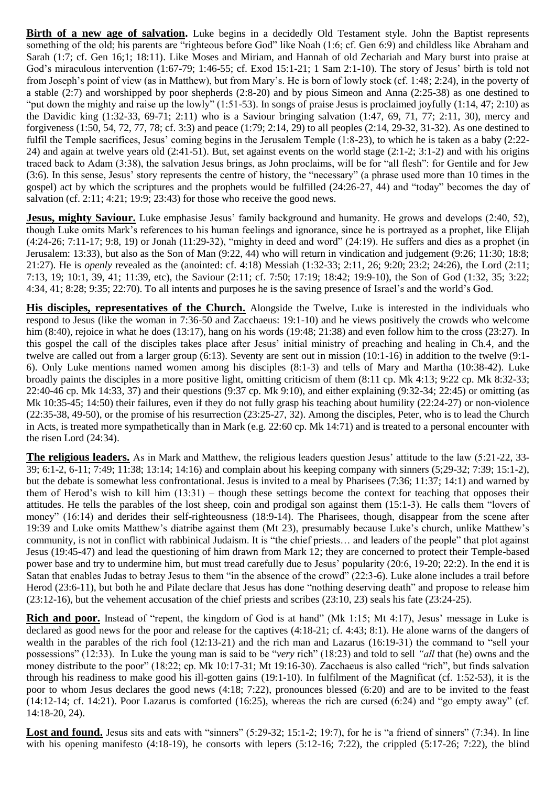**Birth of a new age of salvation.** Luke begins in a decidedly Old Testament style. John the Baptist represents something of the old; his parents are "righteous before God" like Noah (1:6; cf. Gen 6:9) and childless like Abraham and Sarah (1:7; cf. Gen 16;1; 18:11). Like Moses and Miriam, and Hannah of old Zechariah and Mary burst into praise at God's miraculous intervention (1:67-79; 1:46-55; cf. Exod 15:1-21; 1 Sam 2:1-10). The story of Jesus' birth is told not from Joseph's point of view (as in Matthew), but from Mary's. He is born of lowly stock (cf. 1:48; 2:24), in the poverty of a stable (2:7) and worshipped by poor shepherds (2:8-20) and by pious Simeon and Anna (2:25-38) as one destined to "put down the mighty and raise up the lowly" (1:51-53). In songs of praise Jesus is proclaimed joyfully (1:14, 47; 2:10) as the Davidic king (1:32-33, 69-71; 2:11) who is a Saviour bringing salvation (1:47, 69, 71, 77; 2:11, 30), mercy and forgiveness (1:50, 54, 72, 77, 78; cf. 3:3) and peace (1:79; 2:14, 29) to all peoples (2:14, 29-32, 31-32). As one destined to fulfil the Temple sacrifices, Jesus' coming begins in the Jerusalem Temple (1:8-23), to which he is taken as a baby (2:22- 24) and again at twelve years old  $(2.41-51)$ . But, set against events on the world stage  $(2.1-2; 3:1-2)$  and with his origins traced back to Adam (3:38), the salvation Jesus brings, as John proclaims, will be for "all flesh": for Gentile and for Jew (3:6). In this sense, Jesus' story represents the centre of history, the "necessary" (a phrase used more than 10 times in the gospel) act by which the scriptures and the prophets would be fulfilled (24:26-27, 44) and "today" becomes the day of salvation (cf. 2:11; 4:21; 19:9; 23:43) for those who receive the good news.

**Jesus, mighty Saviour.** Luke emphasise Jesus' family background and humanity. He grows and develops (2:40, 52), though Luke omits Mark's references to his human feelings and ignorance, since he is portrayed as a prophet, like Elijah (4:24-26; 7:11-17; 9:8, 19) or Jonah (11:29-32), "mighty in deed and word" (24:19). He suffers and dies as a prophet (in Jerusalem: 13:33), but also as the Son of Man (9:22, 44) who will return in vindication and judgement (9:26; 11:30; 18:8; 21:27). He is *openly* revealed as the (anointed: cf. 4:18) Messiah (1:32-33; 2:11, 26; 9:20; 23:2; 24:26), the Lord (2:11; 7:13, 19; 10:1, 39, 41; 11:39, etc), the Saviour (2:11; cf. 7:50; 17:19; 18:42; 19:9-10), the Son of God (1:32, 35; 3:22; 4:34, 41; 8:28; 9:35; 22:70). To all intents and purposes he is the saving presence of Israel's and the world's God.

**His disciples, representatives of the Church.** Alongside the Twelve, Luke is interested in the individuals who respond to Jesus (like the woman in 7:36-50 and Zacchaeus: 19:1-10) and he views positively the crowds who welcome him (8:40), rejoice in what he does (13:17), hang on his words (19:48; 21:38) and even follow him to the cross (23:27). In this gospel the call of the disciples takes place after Jesus' initial ministry of preaching and healing in Ch.4, and the twelve are called out from a larger group (6:13). Seventy are sent out in mission (10:1-16) in addition to the twelve (9:1- 6). Only Luke mentions named women among his disciples (8:1-3) and tells of Mary and Martha (10:38-42). Luke broadly paints the disciples in a more positive light, omitting criticism of them (8:11 cp. Mk 4:13; 9:22 cp. Mk 8:32-33; 22:40-46 cp. Mk 14:33, 37) and their questions (9:37 cp. Mk 9:10), and either explaining (9:32-34; 22:45) or omitting (as Mk 10:35-45; 14:50) their failures, even if they do not fully grasp his teaching about humility (22:24-27) or non-violence (22:35-38, 49-50), or the promise of his resurrection (23:25-27, 32). Among the disciples, Peter, who is to lead the Church in Acts, is treated more sympathetically than in Mark (e.g. 22:60 cp. Mk 14:71) and is treated to a personal encounter with the risen Lord (24:34).

**The religious leaders.** As in Mark and Matthew, the religious leaders question Jesus' attitude to the law (5:21-22, 33- 39; 6:1-2, 6-11; 7:49; 11:38; 13:14; 14:16) and complain about his keeping company with sinners (5;29-32; 7:39; 15:1-2), but the debate is somewhat less confrontational. Jesus is invited to a meal by Pharisees (7:36; 11:37; 14:1) and warned by them of Herod's wish to kill him (13:31) – though these settings become the context for teaching that opposes their attitudes. He tells the parables of the lost sheep, coin and prodigal son against them (15:1-3). He calls them "lovers of money" (16:14) and derides their self-righteousness (18:9-14). The Pharisees, though, disappear from the scene after 19:39 and Luke omits Matthew's diatribe against them (Mt 23), presumably because Luke's church, unlike Matthew's community, is not in conflict with rabbinical Judaism. It is "the chief priests… and leaders of the people" that plot against Jesus (19:45-47) and lead the questioning of him drawn from Mark 12; they are concerned to protect their Temple-based power base and try to undermine him, but must tread carefully due to Jesus' popularity (20:6, 19-20; 22:2). In the end it is Satan that enables Judas to betray Jesus to them "in the absence of the crowd" (22:3-6). Luke alone includes a trail before Herod (23:6-11), but both he and Pilate declare that Jesus has done "nothing deserving death" and propose to release him (23:12-16), but the vehement accusation of the chief priests and scribes (23:10, 23) seals his fate (23:24-25).

**Rich and poor.** Instead of "repent, the kingdom of God is at hand" (Mk 1:15; Mt 4:17), Jesus' message in Luke is declared as good news for the poor and release for the captives (4:18-21; cf. 4:43; 8:1). He alone warns of the dangers of wealth in the parables of the rich fool (12:13-21) and the rich man and Lazarus (16:19-31) the command to "sell your possessions" (12:33). In Luke the young man is said to be "*very* rich" (18:23) and told to sell *"all* that (he) owns and the money distribute to the poor" (18:22; cp. Mk 10:17-31; Mt 19:16-30). Zacchaeus is also called "rich", but finds salvation through his readiness to make good his ill-gotten gains (19:1-10). In fulfilment of the Magnificat (cf. 1:52-53), it is the poor to whom Jesus declares the good news (4:18; 7:22), pronounces blessed (6:20) and are to be invited to the feast  $(14:12-14; \text{ cf. } 14:21)$ . Poor Lazarus is comforted  $(16:25)$ , whereas the rich are cursed  $(6:24)$  and "go empty away" (cf. 14:18-20, 24).

Lost and found. Jesus sits and eats with "sinners" (5:29-32; 15:1-2; 19:7), for he is "a friend of sinners" (7:34). In line with his opening manifesto (4:18-19), he consorts with lepers (5:12-16; 7:22), the crippled (5:17-26; 7:22), the blind